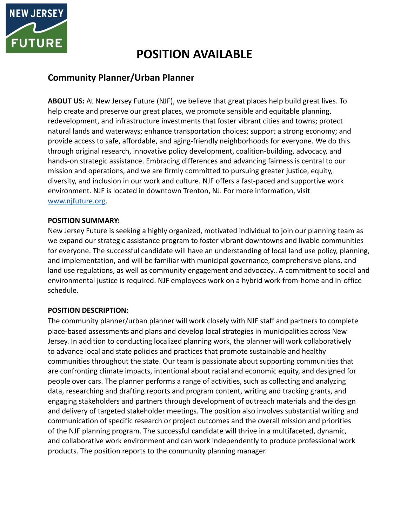

# **POSITION AVAILABLE**

## **Community Planner/Urban Planner**

**ABOUT US:** At New Jersey Future (NJF), we believe that great places help build great lives. To help create and preserve our great places, we promote sensible and equitable planning, redevelopment, and infrastructure investments that foster vibrant cities and towns; protect natural lands and waterways; enhance transportation choices; support a strong economy; and provide access to safe, affordable, and aging-friendly neighborhoods for everyone. We do this through original research, innovative policy development, coalition-building, advocacy, and hands-on strategic assistance. Embracing differences and advancing fairness is central to our mission and operations, and we are firmly committed to pursuing greater justice, equity, diversity, and inclusion in our work and culture. NJF offers a fast-paced and supportive work environment. NJF is located in downtown Trenton, NJ. For more information, visit [www.njfuture.org.](http://www.njfuture.org)

## **POSITION SUMMARY:**

New Jersey Future is seeking a highly organized, motivated individual to join our planning team as we expand our strategic assistance program to foster vibrant downtowns and livable communities for everyone. The successful candidate will have an understanding of local land use policy, planning, and implementation, and will be familiar with municipal governance, comprehensive plans, and land use regulations, as well as community engagement and advocacy.. A commitment to social and environmental justice is required. NJF employees work on a hybrid work-from-home and in-office schedule.

## **POSITION DESCRIPTION:**

The community planner/urban planner will work closely with NJF staff and partners to complete place-based assessments and plans and develop local strategies in municipalities across New Jersey. In addition to conducting localized planning work, the planner will work collaboratively to advance local and state policies and practices that promote sustainable and healthy communities throughout the state. Our team is passionate about supporting communities that are confronting climate impacts, intentional about racial and economic equity, and designed for people over cars. The planner performs a range of activities, such as collecting and analyzing data, researching and drafting reports and program content, writing and tracking grants, and engaging stakeholders and partners through development of outreach materials and the design and delivery of targeted stakeholder meetings. The position also involves substantial writing and communication of specific research or project outcomes and the overall mission and priorities of the NJF planning program. The successful candidate will thrive in a multifaceted, dynamic, and collaborative work environment and can work independently to produce professional work products. The position reports to the community planning manager.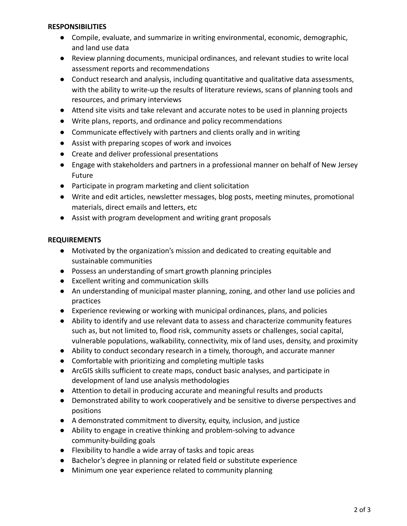### **RESPONSIBILITIES**

- Compile, evaluate, and summarize in writing environmental, economic, demographic, and land use data
- Review planning documents, municipal ordinances, and relevant studies to write local assessment reports and recommendations
- Conduct research and analysis, including quantitative and qualitative data assessments, with the ability to write-up the results of literature reviews, scans of planning tools and resources, and primary interviews
- Attend site visits and take relevant and accurate notes to be used in planning projects
- Write plans, reports, and ordinance and policy recommendations
- Communicate effectively with partners and clients orally and in writing
- Assist with preparing scopes of work and invoices
- Create and deliver professional presentations
- Engage with stakeholders and partners in a professional manner on behalf of New Jersey Future
- Participate in program marketing and client solicitation
- Write and edit articles, newsletter messages, blog posts, meeting minutes, promotional materials, direct emails and letters, etc
- Assist with program development and writing grant proposals

### **REQUIREMENTS**

- Motivated by the organization's mission and dedicated to creating equitable and sustainable communities
- Possess an understanding of smart growth planning principles
- Excellent writing and communication skills
- An understanding of municipal master planning, zoning, and other land use policies and practices
- Experience reviewing or working with municipal ordinances, plans, and policies
- Ability to identify and use relevant data to assess and characterize community features such as, but not limited to, flood risk, community assets or challenges, social capital, vulnerable populations, walkability, connectivity, mix of land uses, density, and proximity
- Ability to conduct secondary research in a timely, thorough, and accurate manner
- Comfortable with prioritizing and completing multiple tasks
- ArcGIS skills sufficient to create maps, conduct basic analyses, and participate in development of land use analysis methodologies
- Attention to detail in producing accurate and meaningful results and products
- Demonstrated ability to work cooperatively and be sensitive to diverse perspectives and positions
- A demonstrated commitment to diversity, equity, inclusion, and justice
- Ability to engage in creative thinking and problem-solving to advance community-building goals
- Flexibility to handle a wide array of tasks and topic areas
- Bachelor's degree in planning or related field or substitute experience
- Minimum one year experience related to community planning